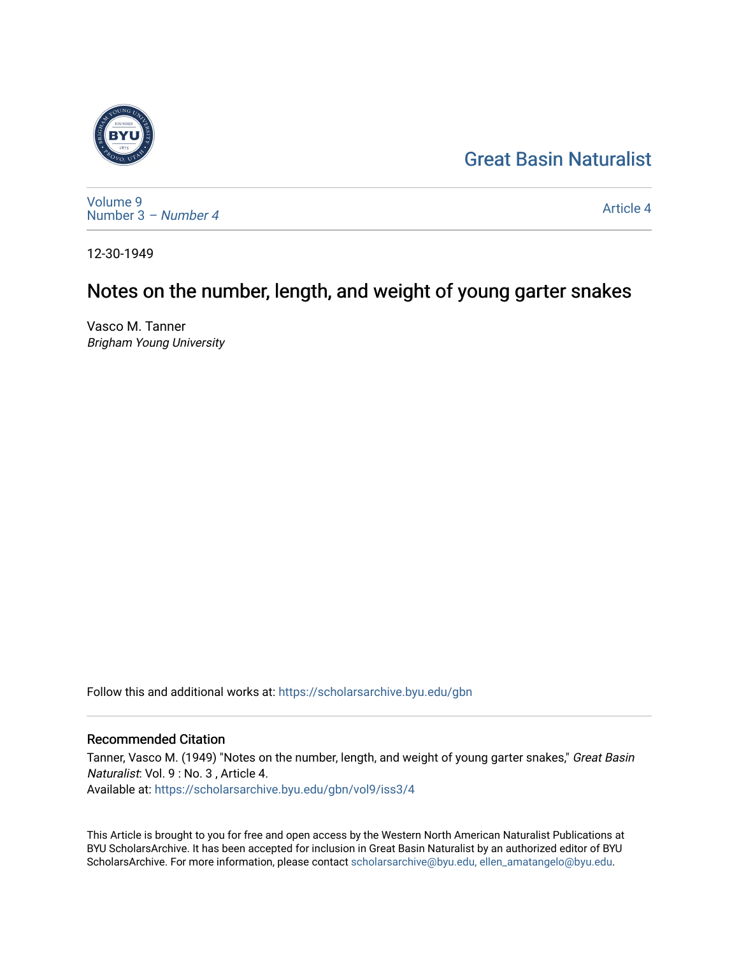# [Great Basin Naturalist](https://scholarsarchive.byu.edu/gbn)



[Volume 9](https://scholarsarchive.byu.edu/gbn/vol9) [Number 3](https://scholarsarchive.byu.edu/gbn/vol9/iss3) – Number 4

[Article 4](https://scholarsarchive.byu.edu/gbn/vol9/iss3/4) 

12-30-1949

# Notes on the number, length, and weight of young garter snakes

Vasco M. Tanner Brigham Young University

Follow this and additional works at: [https://scholarsarchive.byu.edu/gbn](https://scholarsarchive.byu.edu/gbn?utm_source=scholarsarchive.byu.edu%2Fgbn%2Fvol9%2Fiss3%2F4&utm_medium=PDF&utm_campaign=PDFCoverPages) 

## Recommended Citation

Tanner, Vasco M. (1949) "Notes on the number, length, and weight of young garter snakes," Great Basin Naturalist: Vol. 9 : No. 3 , Article 4. Available at: [https://scholarsarchive.byu.edu/gbn/vol9/iss3/4](https://scholarsarchive.byu.edu/gbn/vol9/iss3/4?utm_source=scholarsarchive.byu.edu%2Fgbn%2Fvol9%2Fiss3%2F4&utm_medium=PDF&utm_campaign=PDFCoverPages) 

This Article is brought to you for free and open access by the Western North American Naturalist Publications at BYU ScholarsArchive. It has been accepted for inclusion in Great Basin Naturalist by an authorized editor of BYU ScholarsArchive. For more information, please contact [scholarsarchive@byu.edu, ellen\\_amatangelo@byu.edu.](mailto:scholarsarchive@byu.edu,%20ellen_amatangelo@byu.edu)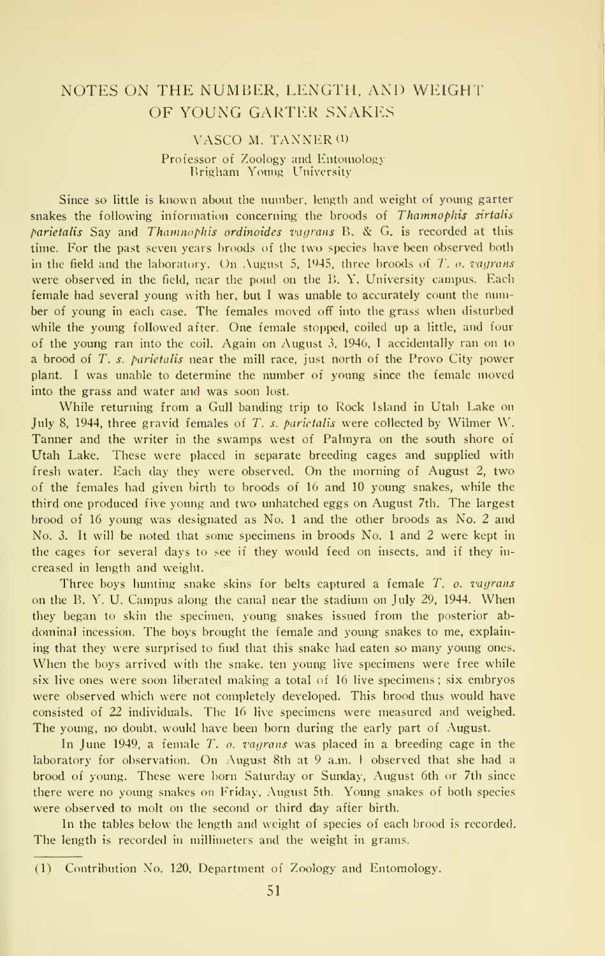### NOTES ON THE NUMBER, LENGTH, AND WEIGHT OF YOUNG GARTER SNAKES

#### VASCO M. TANNER<sup>(1)</sup>

#### Professor of Zoology and Entomology Brigham Young University

Since so little is known about the number, length and weight of young garter snakes the following information concerning the broods of Thamnophis sirtalis parietalis Say and Thamnophis ordinoides vagrans B. & G. is recorded at this time. For the past seven years broods of the two species have been observed both in the field and the laboratory. On August 5, 1945, three broods of  $T$ , o. vagrans were observed in the field, near the pond on the B. Y. University campus. Each female had several young with her, but <sup>I</sup> was unable to accurately count the number of young in each case. The females moved off into the grass wlien disturbed while the young followed after. One female stopped, coiled up a little, and four of the young ran into the coil. Again on August 3, 1946, <sup>I</sup> accidentally ran on to a brood of T. s. parietalis near the mill race, just north of the Provo City power plant. <sup>I</sup> was unable to determine the number of young since the female moved into the grass and water and was soon lost.

While returning from a Gull banding trip to Rock Island in Utah Lake on July 8, 1944, three gravid females of T. s. parietalis were collected by Wilmer W. Tanner and the writer in the swamps west of Palmyra on the south shore of Utah Lake. These were placed in separate breeding cages and supplied with fresh water. Each day they were observed. On the morning of August 2, two of the females had given birth to broods of 16 and 10 young snakes, while the third one produced five young and two unhatched eggs on August 7th. The largest brood of 16 young was designated as No. <sup>1</sup> and the other broods as No. 2 and No. 3. It will be noted that some specimens in broods No. <sup>1</sup>and 2 were kept in the cages for several days to see if they would feed on insects, and if they in creased in length and weight.

Three boys hunting snake skins for belts captured a female  $T$ ,  $\rho$ , vagrans on the B. Y. U. Campus along the canal near the stadium on July 29, 1944. When they began to skin the specimen, young snakes issued from the posterior ab dominal incession. The boys brought the female and young snakes to me, explaining that they were surprised to find that this snake had eaten so many young ones. When the boys arrived with the snake, ten young live specimens were free while six live ones were soon liberated making a total of 16 live specimens ; six embryos were observed which were not completely developed. This brood thus would have consisted of 22 individuals. The 16 live specimens were measured and weighed. The young, no doubt, would have been born during the early part of August.

In June 1949, a female  $T$ ,  $o$ , vagrans was placed in a breeding cage in the laboratory for observation. On August 8th at <sup>9</sup> a.m. <sup>I</sup> observed that she had <sup>a</sup> brood of young. These were born Saturday or Sunday, August 6th or 7th since there were no young snakes on Friday, August 5th. Young snakes of both species were observed to molt on the second or third day after birth.

In the tables below the length and weight of species of each brood is recorded. The length is recorded in millimeters and the weight in grams.

<sup>(1)</sup> Contribution No. 120, Department of Zoology and Entomology.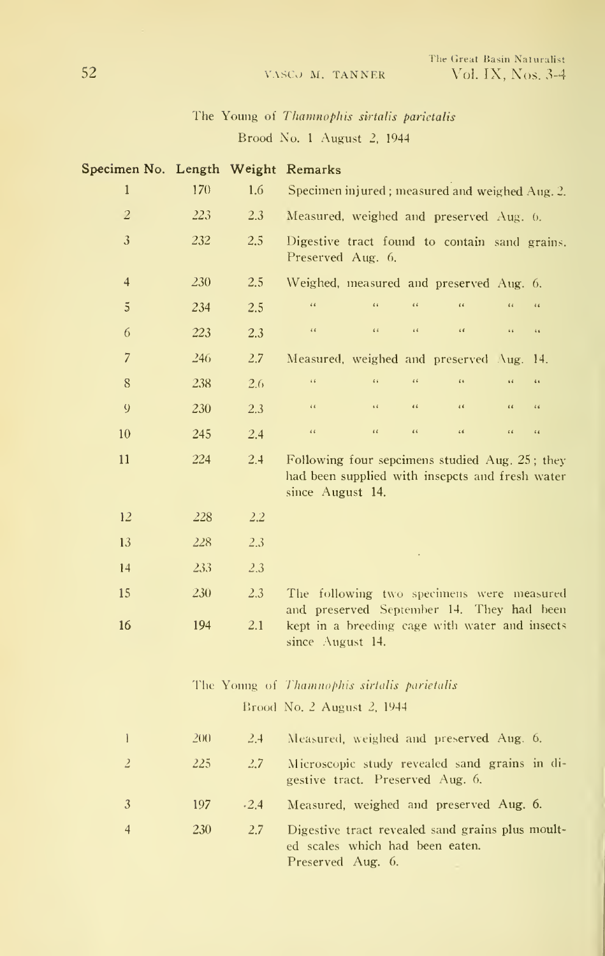## The Young of Thamnophis sirtalis parietalis Brood No. 1 August 2, 1944

| Specimen No. Length Weight Remarks |     |               |                                                                                                                                |  |  |  |  |  |
|------------------------------------|-----|---------------|--------------------------------------------------------------------------------------------------------------------------------|--|--|--|--|--|
| $\mathbf{1}$                       | 170 | 1.6           | Specimen injured; measured and weighed Aug. 2.                                                                                 |  |  |  |  |  |
| $\overline{c}$                     | 223 | 2.3           | Measured, weighed and preserved Aug. 6.                                                                                        |  |  |  |  |  |
| $\mathfrak{Z}$                     | 232 | 2.5           | Digestive tract found to contain sand grains.<br>Preserved Aug. 6.                                                             |  |  |  |  |  |
| $\overline{4}$                     | 230 | 2.5           | Weighed, measured and preserved Aug. 6.                                                                                        |  |  |  |  |  |
| $\overline{5}$                     | 234 | 2.5           | $\alpha$<br>$\alpha$<br>$\alpha$<br>$\epsilon$<br>$\epsilon$<br>$\ddot{\phantom{a}}$                                           |  |  |  |  |  |
| 6                                  | 223 | 2.3           | $\sqrt{2}$<br>$\bar{\epsilon}$ $\bar{\epsilon}$<br>$\bar{c}$<br>$\alpha$<br>$\bar{\epsilon}$ is<br>$\bar{a}$ is                |  |  |  |  |  |
| $\overline{7}$                     | 246 | 2.7           | Measured, weighed and preserved Aug.<br>14.                                                                                    |  |  |  |  |  |
| 8                                  | 238 | 2.6           | $\alpha$<br>$\ddot{\phantom{a}}$<br>$\bar{\epsilon}$ $\bar{\epsilon}$<br>$\alpha$<br>$\overline{a}$<br>$\epsilon$              |  |  |  |  |  |
| 9                                  | 230 | 2.3           | $\bar{\epsilon}$ is<br>$\epsilon\, \epsilon$<br>o d<br>$\pmb{\epsilon}$<br>$\epsilon$<br>$\epsilon$                            |  |  |  |  |  |
| 10                                 | 245 | 2.4           | $\bar{\epsilon}$ $\bar{\epsilon}$<br>$\epsilon\epsilon$<br>$\iota\,\iota$<br>$\sqrt{6}$<br>$\epsilon$ $\epsilon$<br>$\epsilon$ |  |  |  |  |  |
| 11                                 | 224 | 2.4           | Following four sepcimens studied Aug. 25; they<br>had been supplied with insepcts and fresh water<br>since August 14.          |  |  |  |  |  |
| 12                                 | 228 | 2.2           |                                                                                                                                |  |  |  |  |  |
| 13                                 | 228 | 2.3           |                                                                                                                                |  |  |  |  |  |
| 14                                 | 233 | 2.3           |                                                                                                                                |  |  |  |  |  |
| 15                                 | 230 | 2.3           | The following two specimens were measured                                                                                      |  |  |  |  |  |
| 16                                 | 194 | 2.1           | and preserved September 14. They had been<br>kept in a breeding cage with water and insects<br>since August 14.                |  |  |  |  |  |
|                                    |     |               | The Young of Thamnophis sirtalis parietalis                                                                                    |  |  |  |  |  |
|                                    |     |               | Brood No. 2 August 2, 1944                                                                                                     |  |  |  |  |  |
| $\mathbf{1}$                       | 200 | 2.4           | Measured, weighed and preserved Aug. 6.                                                                                        |  |  |  |  |  |
| $\overline{z}$                     | 225 | 2.7           | Microscopic study revealed sand grains in di-<br>gestive tract. Preserved Aug. 6.                                              |  |  |  |  |  |
| 3                                  | 197 | $-2.4$        | Measured, weighed and preserved Aug. 6.                                                                                        |  |  |  |  |  |
| $\overline{4}$                     | 230 | $2.7^{\circ}$ | Digestive tract revealed sand grains plus moult-<br>ed scales which had been eaten.<br>Preserved Aug. 6.                       |  |  |  |  |  |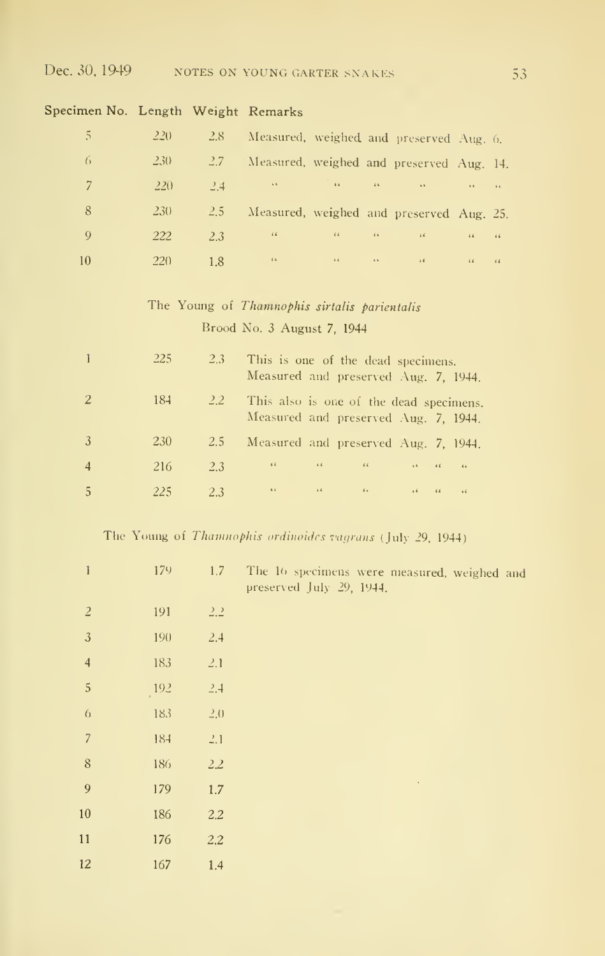### Specimen No. Length Weight Remarks

| -5.  | $220^{\circ}$ | $2.8^{\circ}$ | Measured, weighed and preserved Aug. 6.  |                                                                                                                                                                                                                                                                                                                                                                                                                                                          |                                                                                                                        |                                   |  |
|------|---------------|---------------|------------------------------------------|----------------------------------------------------------------------------------------------------------------------------------------------------------------------------------------------------------------------------------------------------------------------------------------------------------------------------------------------------------------------------------------------------------------------------------------------------------|------------------------------------------------------------------------------------------------------------------------|-----------------------------------|--|
| -6   | $230^{\circ}$ | $2.7^{\circ}$ | Measured, weighed and preserved Aug. 14. |                                                                                                                                                                                                                                                                                                                                                                                                                                                          |                                                                                                                        |                                   |  |
| $-7$ | $-220$        | $-2.4$        |                                          | $\label{eq:3.1} \mathcal{L}=\mathcal{L}(\mathbf{r})\otimes\mathcal{L}=\mathcal{L}(\mathbf{r})\otimes\mathcal{L}(\mathbf{r})\otimes\mathcal{L}(\mathbf{r})\otimes\mathcal{L}(\mathbf{r})\otimes\mathcal{L}(\mathbf{r})\otimes\mathcal{L}(\mathbf{r})\otimes\mathcal{L}(\mathbf{r})\otimes\mathcal{L}(\mathbf{r})\otimes\mathcal{L}(\mathbf{r})\otimes\mathcal{L}(\mathbf{r})\otimes\mathcal{L}(\mathbf{r})\otimes\mathcal{L}(\mathbf{r})\otimes\mathcal{$ |                                                                                                                        | <b>Contract Contract Contract</b> |  |
| 8    | <b>230</b>    | $2.5^{\circ}$ | Measured, weighed and preserved Aug. 25. |                                                                                                                                                                                                                                                                                                                                                                                                                                                          |                                                                                                                        |                                   |  |
| -9   | 222           | 2.3           |                                          |                                                                                                                                                                                                                                                                                                                                                                                                                                                          | $\alpha$ and $\alpha$ and $\alpha$ and $\alpha$ and $\alpha$                                                           |                                   |  |
| 10   | 220           | 1.8           |                                          |                                                                                                                                                                                                                                                                                                                                                                                                                                                          | <b>ACCOUNT ACCOUNT ACCOUNT ACCOUNT ACCOUNT ACCOUNT ACCOUNT ACCOUNT ACCOUNT ACCOUNT ACCOUNT ACCOUNT ACCOUNT ACCOUNT</b> | $\sqrt{6}$ $\sqrt{6}$             |  |

The Young of Thamnophis sirtalis parientalis Brood No. 3 August 7, 1944

|                | 225        | $2.3^{\circ}$ | This is one of the dead specimens.<br>Measured and preserved Aug. 7, 1944.      |
|----------------|------------|---------------|---------------------------------------------------------------------------------|
| -2             | 184        | $2.2^{\circ}$ | This also is one of the dead specimens.<br>Measured and preserved Aug. 7, 1944. |
| 3              | <b>230</b> | 2.5           | Measured and preserved Aug. 7, 1944.                                            |
| $\overline{4}$ | 216        | 2.3           | $4.6 - 1$<br>$\sim$ 4.6 $\sim$ 4.6 $\sim$ 4.6 $\sim$<br>$16 - 16 - 16$          |
|                | 225        | 23            | <b>AGE COMPANY</b><br>4.6<br>$\sim$ 64.<br>$4.6$<br>$66 - 66$                   |

## The Young of Thamnophis ordinoides vagrans (July 29, 1944)

| $\mathbf{I}$        | 179             | 1.7           | The 16 specimens were measured, weighed and<br>preserved July 29, 1944. |
|---------------------|-----------------|---------------|-------------------------------------------------------------------------|
| $\overline{2}$      | 191             | 2.2           |                                                                         |
| $\sqrt{3}$          | 190             | 2.4           |                                                                         |
| $\overline{4}$      | 183             | 2.1           |                                                                         |
| $\sqrt{5}$          | $^{192}$        | 2.4           |                                                                         |
| $\ddot{\mathbf{0}}$ | 183             | $2.0^{\circ}$ |                                                                         |
| $\overline{7}$      | 18 <sup>4</sup> | 2.1           |                                                                         |
| $8\,$               | 186             | 2.2           |                                                                         |
| 9                   | 179             | $1.7\,$       | $\bullet$                                                               |
| 10                  | 186             | 2.2           |                                                                         |
| 11                  | 176             | 2.2           |                                                                         |
| 12                  | 167             | 1.4           |                                                                         |